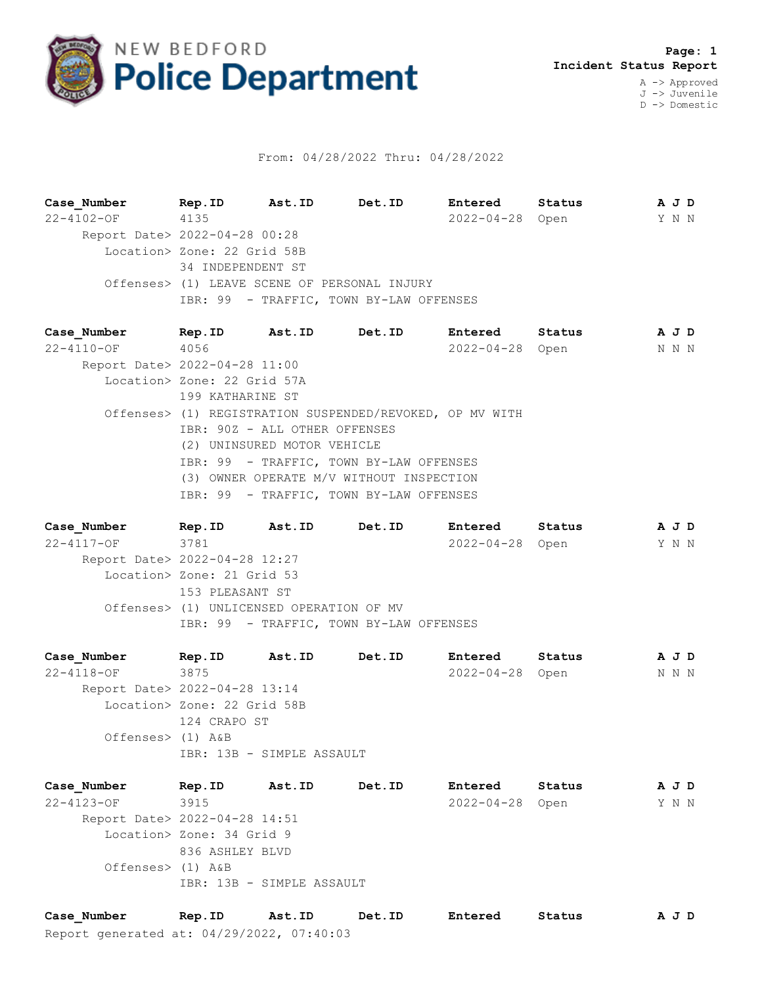

## From: 04/28/2022 Thru: 04/28/2022

**Case\_Number Rep.ID Ast.ID Det.ID Entered Status A J D** 22-4102-OF 4135 2022-04-28 Open Y N N Report Date> 2022-04-28 00:28 Location> Zone: 22 Grid 58B 34 INDEPENDENT ST Offenses> (1) LEAVE SCENE OF PERSONAL INJURY IBR: 99 - TRAFFIC, TOWN BY-LAW OFFENSES

**Case\_Number Rep.ID Ast.ID Det.ID Entered Status A J D** 22-4110-OF 4056 2022-04-28 Open N N N Report Date> 2022-04-28 11:00 Location> Zone: 22 Grid 57A 199 KATHARINE ST Offenses> (1) REGISTRATION SUSPENDED/REVOKED, OP MV WITH IBR: 90Z - ALL OTHER OFFENSES (2) UNINSURED MOTOR VEHICLE IBR: 99 - TRAFFIC, TOWN BY-LAW OFFENSES (3) OWNER OPERATE M/V WITHOUT INSPECTION IBR: 99 - TRAFFIC, TOWN BY-LAW OFFENSES

**Case\_Number Rep.ID Ast.ID Det.ID Entered Status A J D** 22-4117-OF 3781 2022-04-28 Open Y N N Report Date> 2022-04-28 12:27 Location> Zone: 21 Grid 53 153 PLEASANT ST Offenses> (1) UNLICENSED OPERATION OF MV IBR: 99 - TRAFFIC, TOWN BY-LAW OFFENSES

**Case\_Number Rep.ID Ast.ID Det.ID Entered Status A J D** 22-4118-OF 3875 2022-04-28 Open N N N Report Date> 2022-04-28 13:14 Location> Zone: 22 Grid 58B 124 CRAPO ST Offenses> (1) A&B IBR: 13B - SIMPLE ASSAULT

**Case\_Number Rep.ID Ast.ID Det.ID Entered Status A J D** 22-4123-OF 3915 2022-04-28 Open Y N N Report Date> 2022-04-28 14:51 Location> Zone: 34 Grid 9 836 ASHLEY BLVD Offenses> (1) A&B IBR: 13B - SIMPLE ASSAULT

Report generated at: 04/29/2022, 07:40:03 **Case\_Number Rep.ID Ast.ID Det.ID Entered Status A J D**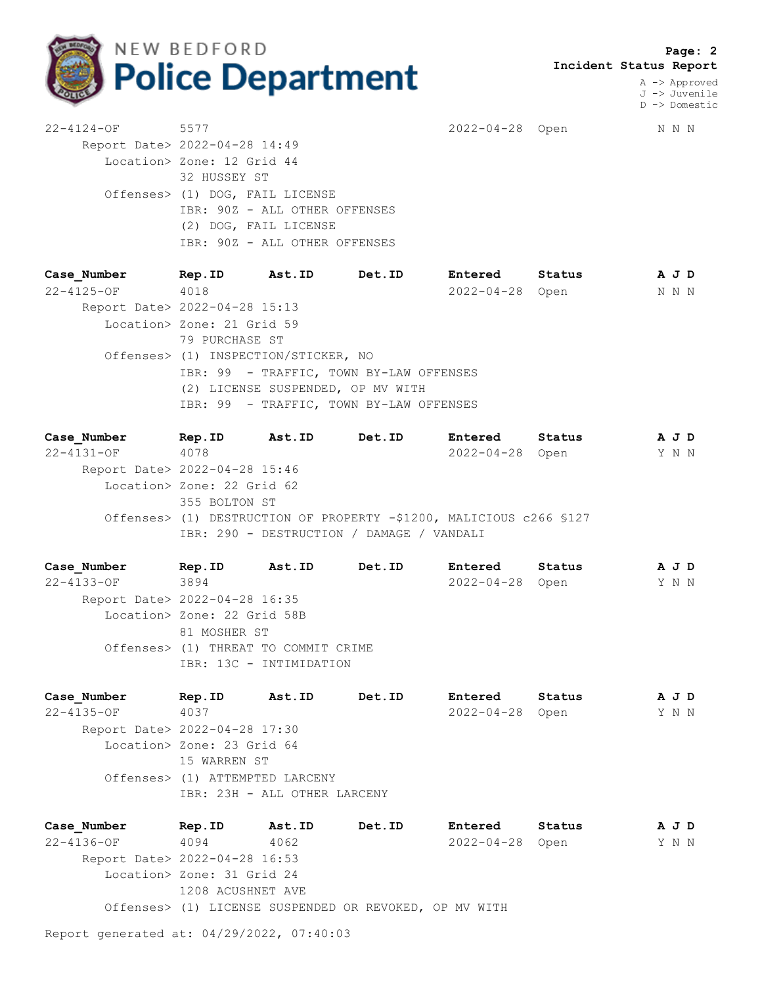

 **Page: 2 Incident Status Report**

> A -> Approved J -> Juvenile D -> Domestic

22-4124-OF 5577 2022-04-28 Open N N N Report Date> 2022-04-28 14:49 Location> Zone: 12 Grid 44 32 HUSSEY ST Offenses> (1) DOG, FAIL LICENSE IBR: 90Z - ALL OTHER OFFENSES (2) DOG, FAIL LICENSE IBR: 90Z - ALL OTHER OFFENSES

**Case\_Number Rep.ID Ast.ID Det.ID Entered Status A J D** 22-4125-OF 4018 2022-04-28 Open N N N Report Date> 2022-04-28 15:13 Location> Zone: 21 Grid 59 79 PURCHASE ST Offenses> (1) INSPECTION/STICKER, NO IBR: 99 - TRAFFIC, TOWN BY-LAW OFFENSES (2) LICENSE SUSPENDED, OP MV WITH IBR: 99 - TRAFFIC, TOWN BY-LAW OFFENSES

**Case\_Number Rep.ID Ast.ID Det.ID Entered Status A J D** 22-4131-OF 4078 2022-04-28 Open Y N N Report Date> 2022-04-28 15:46 Location> Zone: 22 Grid 62 355 BOLTON ST Offenses> (1) DESTRUCTION OF PROPERTY -\$1200, MALICIOUS c266 §127 IBR: 290 - DESTRUCTION / DAMAGE / VANDALI

**Case\_Number Rep.ID Ast.ID Det.ID Entered Status A J D** 22-4133-OF 3894 2022-04-28 Open Y N N Report Date> 2022-04-28 16:35 Location> Zone: 22 Grid 58B 81 MOSHER ST Offenses> (1) THREAT TO COMMIT CRIME IBR: 13C - INTIMIDATION

**Case\_Number Rep.ID Ast.ID Det.ID Entered Status A J D** 22-4135-OF 4037 2022-04-28 Open Y N N Report Date> 2022-04-28 17:30 Location> Zone: 23 Grid 64 15 WARREN ST Offenses> (1) ATTEMPTED LARCENY IBR: 23H - ALL OTHER LARCENY

**Case\_Number Rep.ID Ast.ID Det.ID Entered Status A J D** 22-4136-OF 4094 4062 2022-04-28 Open Y N N Report Date> 2022-04-28 16:53 Location> Zone: 31 Grid 24 1208 ACUSHNET AVE Offenses> (1) LICENSE SUSPENDED OR REVOKED, OP MV WITH